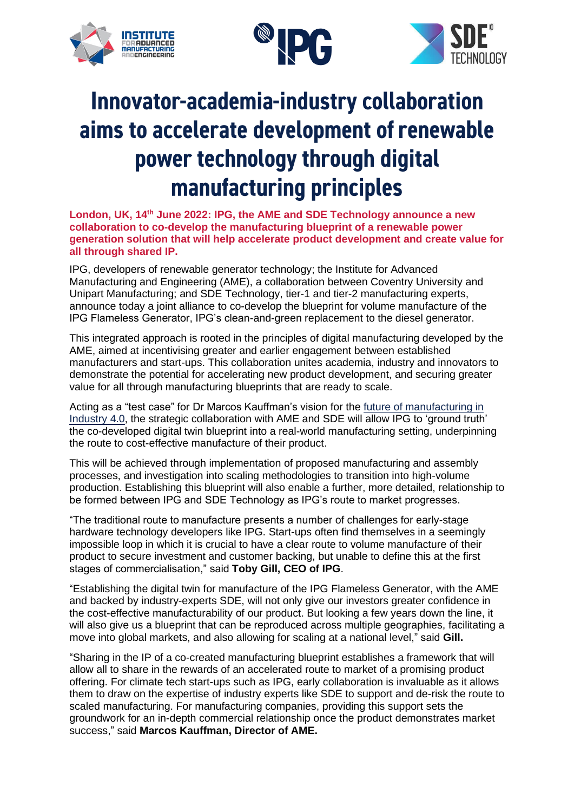



# Innovator-academia-industry collaboration aims to accelerate development of renewable power technology through digital manufacturing principles

**London, UK, 14th June 2022: IPG, the AME and SDE Technology announce a new collaboration to co-develop the manufacturing blueprint of a renewable power generation solution that will help accelerate product development and create value for all through shared IP.**

IPG, developers of renewable generator technology; the Institute for Advanced Manufacturing and Engineering (AME), a collaboration between Coventry University and Unipart Manufacturing; and SDE Technology, tier-1 and tier-2 manufacturing experts, announce today a joint alliance to co-develop the blueprint for volume manufacture of the IPG Flameless Generator, IPG's clean-and-green replacement to the diesel generator.

This integrated approach is rooted in the principles of digital manufacturing developed by the AME, aimed at incentivising greater and earlier engagement between established manufacturers and start-ups. This collaboration unites academia, industry and innovators to demonstrate the potential for accelerating new product development, and securing greater value for all through manufacturing blueprints that are ready to scale.

Acting as a "test case" for Dr Marcos Kauffman's vision for the [future of manufacturing in](https://novaropublishing.com/profiting-from-industry-4/)  [Industry 4.0,](https://novaropublishing.com/profiting-from-industry-4/) the strategic collaboration with AME and SDE will allow IPG to 'ground truth' the co-developed digital twin blueprint into a real-world manufacturing setting, underpinning the route to cost-effective manufacture of their product.

This will be achieved through implementation of proposed manufacturing and assembly processes, and investigation into scaling methodologies to transition into high-volume production. Establishing this blueprint will also enable a further, more detailed, relationship to be formed between IPG and SDE Technology as IPG's route to market progresses.

"The traditional route to manufacture presents a number of challenges for early-stage hardware technology developers like IPG. Start-ups often find themselves in a seemingly impossible loop in which it is crucial to have a clear route to volume manufacture of their product to secure investment and customer backing, but unable to define this at the first stages of commercialisation," said **Toby Gill, CEO of IPG**.

"Establishing the digital twin for manufacture of the IPG Flameless Generator, with the AME and backed by industry-experts SDE, will not only give our investors greater confidence in the cost-effective manufacturability of our product. But looking a few years down the line, it will also give us a blueprint that can be reproduced across multiple geographies, facilitating a move into global markets, and also allowing for scaling at a national level," said **Gill.** 

"Sharing in the IP of a co-created manufacturing blueprint establishes a framework that will allow all to share in the rewards of an accelerated route to market of a promising product offering. For climate tech start-ups such as IPG, early collaboration is invaluable as it allows them to draw on the expertise of industry experts like SDE to support and de-risk the route to scaled manufacturing. For manufacturing companies, providing this support sets the groundwork for an in-depth commercial relationship once the product demonstrates market success," said **Marcos Kauffman, Director of AME.**